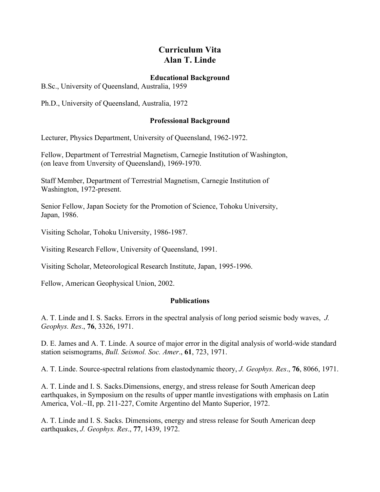## **Curriculum Vita Alan T. Linde**

## **Educational Background**

B.Sc., University of Queensland, Australia, 1959

Ph.D., University of Queensland, Australia, 1972

## **Professional Background**

Lecturer, Physics Department, University of Queensland, 1962-1972.

Fellow, Department of Terrestrial Magnetism, Carnegie Institution of Washington, (on leave from Unversity of Queensland), 1969-1970.

Staff Member, Department of Terrestrial Magnetism, Carnegie Institution of Washington, 1972-present.

Senior Fellow, Japan Society for the Promotion of Science, Tohoku University, Japan, 1986.

Visiting Scholar, Tohoku University, 1986-1987.

Visiting Research Fellow, University of Queensland, 1991.

Visiting Scholar, Meteorological Research Institute, Japan, 1995-1996.

Fellow, American Geophysical Union, 2002.

## **Publications**

A. T. Linde and I. S. Sacks. Errors in the spectral analysis of long period seismic body waves, *J. Geophys. Res*., **76**, 3326, 1971.

D. E. James and A. T. Linde. A source of major error in the digital analysis of world-wide standard station seismograms, *Bull. Seismol. Soc. Amer*., **61**, 723, 1971.

A. T. Linde. Source-spectral relations from elastodynamic theory, *J. Geophys. Res*., **76**, 8066, 1971.

A. T. Linde and I. S. Sacks.Dimensions, energy, and stress release for South American deep earthquakes, in Symposium on the results of upper mantle investigations with emphasis on Latin America, Vol.~II, pp. 211-227, Comite Argentino del Manto Superior, 1972.

A. T. Linde and I. S. Sacks. Dimensions, energy and stress release for South American deep earthquakes, *J. Geophys. Res*., **77**, 1439, 1972.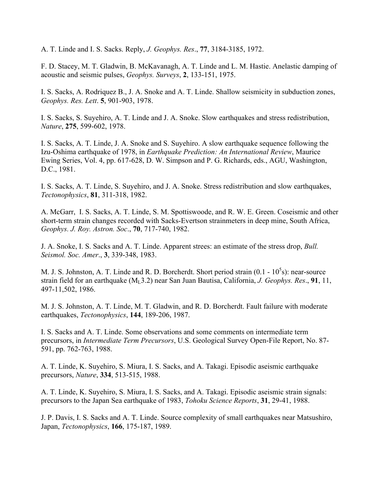A. T. Linde and I. S. Sacks. Reply, *J. Geophys. Res*., **77**, 3184-3185, 1972.

F. D. Stacey, M. T. Gladwin, B. McKavanagh, A. T. Linde and L. M. Hastie. Anelastic damping of acoustic and seismic pulses, *Geophys. Surveys*, **2**, 133-151, 1975.

I. S. Sacks, A. Rodriquez B., J. A. Snoke and A. T. Linde. Shallow seismicity in subduction zones, *Geophys. Res. Lett*. **5**, 901-903, 1978.

I. S. Sacks, S. Suyehiro, A. T. Linde and J. A. Snoke. Slow earthquakes and stress redistribution, *Nature*, **275**, 599-602, 1978.

I. S. Sacks, A. T. Linde, J. A. Snoke and S. Suyehiro. A slow earthquake sequence following the Izu-Oshima earthquake of 1978, in *Earthquake Prediction: An International Review*, Maurice Ewing Series, Vol. 4, pp. 617-628, D. W. Simpson and P. G. Richards, eds., AGU, Washington, D.C., 1981.

I. S. Sacks, A. T. Linde, S. Suyehiro, and J. A. Snoke. Stress redistribution and slow earthquakes, *Tectonophysics*, **81**, 311-318, 1982.

A. McGarr, I. S. Sacks, A. T. Linde, S. M. Spottiswoode, and R. W. E. Green. Coseismic and other short-term strain changes recorded with Sacks-Evertson strainmeters in deep mine, South Africa, *Geophys. J. Roy. Astron. Soc*., **70**, 717-740, 1982.

J. A. Snoke, I. S. Sacks and A. T. Linde. Apparent strees: an estimate of the stress drop, *Bull. Seismol. Soc. Amer*., **3**, 339-348, 1983.

M. J. S. Johnston, A. T. Linde and R. D. Borcherdt. Short period strain  $(0.1 - 10<sup>5</sup>s)$ : near-source strain field for an earthquake (ML3.2) near San Juan Bautisa, California, *J. Geophys. Res*., **91**, 11, 497-11,502, 1986.

M. J. S. Johnston, A. T. Linde, M. T. Gladwin, and R. D. Borcherdt. Fault failure with moderate earthquakes, *Tectonophysics*, **144**, 189-206, 1987.

I. S. Sacks and A. T. Linde. Some observations and some comments on intermediate term precursors, in *Intermediate Term Precursors*, U.S. Geological Survey Open-File Report, No. 87- 591, pp. 762-763, 1988.

A. T. Linde, K. Suyehiro, S. Miura, I. S. Sacks, and A. Takagi. Episodic aseismic earthquake precursors, *Nature*, **334**, 513-515, 1988.

A. T. Linde, K. Suyehiro, S. Miura, I. S. Sacks, and A. Takagi. Episodic aseismic strain signals: precursors to the Japan Sea earthquake of 1983, *Tohoku Science Reports*, **31**, 29-41, 1988.

J. P. Davis, I. S. Sacks and A. T. Linde. Source complexity of small earthquakes near Matsushiro, Japan, *Tectonophysics*, **166**, 175-187, 1989.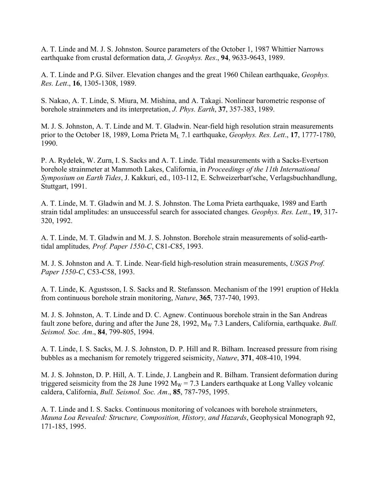A. T. Linde and M. J. S. Johnston. Source parameters of the October 1, 1987 Whittier Narrows earthquake from crustal deformation data, *J. Geophys. Res*., **94**, 9633-9643, 1989.

A. T. Linde and P.G. Silver. Elevation changes and the great 1960 Chilean earthquake, *Geophys. Res. Lett*., **16**, 1305-1308, 1989.

S. Nakao, A. T. Linde, S. Miura, M. Mishina, and A. Takagi. Nonlinear barometric response of borehole strainmeters and its interpretation, *J. Phys. Earth*, **37**, 357-383, 1989.

M. J. S. Johnston, A. T. Linde and M. T. Gladwin. Near-field high resolution strain measurements prior to the October 18, 1989, Loma Prieta M<sub>L</sub> 7.1 earthquake, *Geophys. Res. Lett.*, 17, 1777-1780, 1990.

P. A. Rydelek, W. Zurn, I. S. Sacks and A. T. Linde. Tidal measurements with a Sacks-Evertson borehole strainmeter at Mammoth Lakes, California, in *Proceedings of the 11th International Symposium on Earth Tides*, J. Kakkuri, ed., 103-112, E. Schweizerbart'sche, Verlagsbuchhandlung, Stuttgart, 1991.

A. T. Linde, M. T. Gladwin and M. J. S. Johnston. The Loma Prieta earthquake, 1989 and Earth strain tidal amplitudes: an unsuccessful search for associated changes. *Geophys. Res. Lett*., **19**, 317- 320, 1992.

A. T. Linde, M. T. Gladwin and M. J. S. Johnston. Borehole strain measurements of solid-earthtidal amplitudes*, Prof. Paper 1550-C*, C81-C85, 1993.

M. J. S. Johnston and A. T. Linde. Near-field high-resolution strain measurements, *USGS Prof. Paper 1550-C*, C53-C58, 1993.

A. T. Linde, K. Agustsson, I. S. Sacks and R. Stefansson. Mechanism of the 1991 eruption of Hekla from continuous borehole strain monitoring, *Nature*, **365**, 737-740, 1993.

M. J. S. Johnston, A. T. Linde and D. C. Agnew. Continuous borehole strain in the San Andreas fault zone before, during and after the June 28, 1992, M<sub>W</sub> 7.3 Landers, California, earthquake. *Bull. Seismol. Soc. Am*., **84**, 799-805, 1994.

A. T. Linde, I. S. Sacks, M. J. S. Johnston, D. P. Hill and R. Bilham. Increased pressure from rising bubbles as a mechanism for remotely triggered seismicity, *Nature*, **371**, 408-410, 1994.

M. J. S. Johnston, D. P. Hill, A. T. Linde, J. Langbein and R. Bilham. Transient deformation during triggered seismicity from the 28 June 1992 M<sub>W</sub> = 7.3 Landers earthquake at Long Valley volcanic caldera, California, *Bull. Seismol. Soc. Am*., **85**, 787-795, 1995.

A. T. Linde and I. S. Sacks. Continuous monitoring of volcanoes with borehole strainmeters, *Mauna Loa Revealed: Structure, Composition, History, and Hazards*, Geophysical Monograph 92, 171-185, 1995.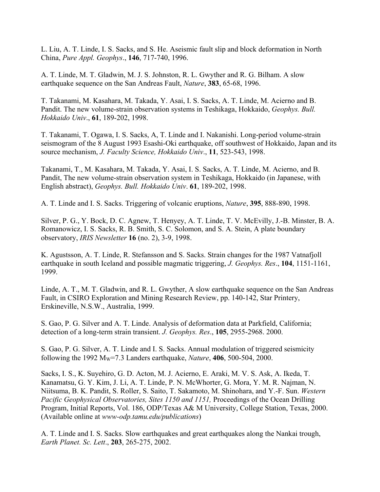L. Liu, A. T. Linde, I. S. Sacks, and S. He. Aseismic fault slip and block deformation in North China, *Pure Appl. Geophys*., **146**, 717-740, 1996.

A. T. Linde, M. T. Gladwin, M. J. S. Johnston, R. L. Gwyther and R. G. Bilham. A slow earthquake sequence on the San Andreas Fault, *Nature*, **383**, 65-68, 1996.

T. Takanami, M. Kasahara, M. Takada, Y. Asai, I. S. Sacks, A. T. Linde, M. Acierno and B. Pandit. The new volume-strain observation systems in Teshikaga, Hokkaido, *Geophys. Bull. Hokkaido Univ*., **61**, 189-202, 1998.

T. Takanami, T. Ogawa, I. S. Sacks, A, T. Linde and I. Nakanishi. Long-period volume-strain seismogram of the 8 August 1993 Esashi-Oki earthquake, off southwest of Hokkaido, Japan and its source mechanism, *J. Faculty Science, Hokkaido Univ*., **11**, 523-543, 1998.

Takanami, T., M. Kasahara, M. Takada, Y. Asai, I. S. Sacks, A. T. Linde, M. Acierno, and B. Pandit, The new volume-strain observation system in Teshikaga, Hokkaido (in Japanese, with English abstract), *Geophys. Bull. Hokkaido Univ*. **61**, 189-202, 1998.

A. T. Linde and I. S. Sacks. Triggering of volcanic eruptions, *Nature*, **395**, 888-890, 1998.

Silver, P. G., Y. Bock, D. C. Agnew, T. Henyey, A. T. Linde, T. V. McEvilly, J.-B. Minster, B. A. Romanowicz, I. S. Sacks, R. B. Smith, S. C. Solomon, and S. A. Stein, A plate boundary observatory, *IRIS Newsletter* **16** (no. 2), 3-9, 1998.

K. Agustsson, A. T. Linde, R. Stefansson and S. Sacks. Strain changes for the 1987 Vatnafjoll earthquake in south Iceland and possible magmatic triggering, *J. Geophys. Res*., **104**, 1151-1161, 1999.

Linde, A. T., M. T. Gladwin, and R. L. Gwyther, A slow earthquake sequence on the San Andreas Fault, in CSIRO Exploration and Mining Research Review, pp. 140-142, Star Printery, Erskineville, N.S.W., Australia, 1999.

S. Gao, P. G. Silver and A. T. Linde. Analysis of deformation data at Parkfield, California; detection of a long-term strain transient. *J. Geophys. Res*., **105**, 2955-2968. 2000.

S. Gao, P. G. Silver, A. T. Linde and I. S. Sacks. Annual modulation of triggered seismicity following the 1992  $M_W$ =7.3 Landers earthquake, *Nature*, 406, 500-504, 2000.

Sacks, I. S., K. Suyehiro, G. D. Acton, M. J. Acierno, E. Araki, M. V. S. Ask, A. Ikeda, T. Kanamatsu, G. Y. Kim, J. Li, A. T. Linde, P. N. McWhorter, G. Mora, Y. M. R. Najman, N. Niitsuma, B. K. Pandit, S. Roller, S. Saito, T. Sakamoto, M. Shinohara, and Y.-F. Sun. *Western Pacific Geophysical Observatories, Sites 1150 and 1151,* Proceedings of the Ocean Drilling Program, Initial Reports, Vol. 186, ODP/Texas A& M University, College Station, Texas, 2000. (Available online at *www-odp.tamu.edu/publications*)

A. T. Linde and I. S. Sacks. Slow earthquakes and great earthquakes along the Nankai trough, *Earth Planet. Sc. Lett*., **203**, 265-275, 2002.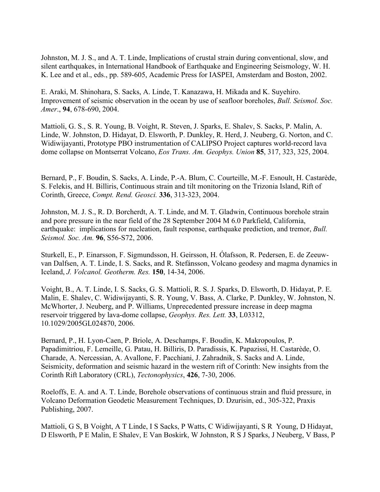Johnston, M. J. S., and A. T. Linde, Implications of crustal strain during conventional, slow, and silent earthquakes, in International Handbook of Earthquake and Engineering Seismology, W. H. K. Lee and et al., eds., pp. 589-605, Academic Press for IASPEI, Amsterdam and Boston, 2002.

E. Araki, M. Shinohara, S. Sacks, A. Linde, T. Kanazawa, H. Mikada and K. Suyehiro. Improvement of seismic observation in the ocean by use of seafloor boreholes, *Bull. Seismol. Soc. Amer*., **94**, 678-690, 2004.

Mattioli, G. S., S. R. Young, B. Voight, R. Steven, J. Sparks, E. Shalev, S. Sacks, P. Malin, A. Linde, W. Johnston, D. Hidayat, D. Elsworth, P. Dunkley, R. Herd, J. Neuberg, G. Norton, and C. Widiwijayanti, Prototype PBO instrumentation of CALIPSO Project captures world-record lava dome collapse on Montserrat Volcano, *Eos Trans. Am. Geophys. Union* **85**, 317, 323, 325, 2004.

Bernard, P., F. Boudin, S. Sacks, A. Linde, P.-A. Blum, C. Courteille, M.-F. Esnoult, H. Castarède, S. Felekis, and H. Billiris, Continuous strain and tilt monitoring on the Trizonia Island, Rift of Corinth, Greece, *Compt. Rend. Geosci.* **336**, 313-323, 2004.

Johnston, M. J. S., R. D. Borcherdt, A. T. Linde, and M. T. Gladwin, Continuous borehole strain and pore pressure in the near field of the 28 September 2004 M 6.0 Parkfield, California, earthquake: implications for nucleation, fault response, earthquake prediction, and tremor, *Bull. Seismol. Soc. Am.* **96**, S56-S72, 2006.

Sturkell, E., P. Einarsson, F. Sigmundsson, H. Geirsson, H. Ólafsson, R. Pedersen, E. de Zeeuwvan Dalfsen, A. T. Linde, I. S. Sacks, and R. Stefánsson, Volcano geodesy and magma dynamics in Iceland, *J. Volcanol. Geotherm. Res.* **150**, 14-34, 2006.

Voight, B., A. T. Linde, I. S. Sacks, G. S. Mattioli, R. S. J. Sparks, D. Elsworth, D. Hidayat, P. E. Malin, E. Shalev, C. Widiwijayanti, S. R. Young, V. Bass, A. Clarke, P. Dunkley, W. Johnston, N. McWhorter, J. Neuberg, and P. Williams, Unprecedented pressure increase in deep magma reservoir triggered by lava-dome collapse, *Geophys. Res. Lett.* **33**, L03312, 10.1029/2005GL024870, 2006.

Bernard, P., H. Lyon-Caen, P. Briole, A. Deschamps, F. Boudin, K. Makropoulos, P. Papadimitriou, F. Lemeille, G. Patau, H. Billiris, D. Paradissis, K. Papazissi, H. Castarède, O. Charade, A. Nercessian, A. Avallone, F. Pacchiani, J. Zahradnik, S. Sacks and A. Linde, Seismicity, deformation and seismic hazard in the western rift of Corinth: New insights from the Corinth Rift Laboratory (CRL), *Tectonophysics*, **426**, 7-30, 2006.

Roeloffs, E. A. and A. T. Linde, Borehole observations of continuous strain and fluid pressure, in Volcano Deformation Geodetic Measurement Techniques, D. Dzurisin, ed., 305-322, Praxis Publishing, 2007.

Mattioli, G S, B Voight, A T Linde, I S Sacks, P Watts, C Widiwijayanti, S R Young, D Hidayat, D Elsworth, P E Malin, E Shalev, E Van Boskirk, W Johnston, R S J Sparks, J Neuberg, V Bass, P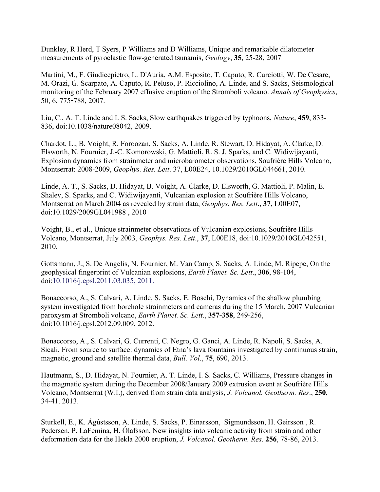Dunkley, R Herd, T Syers, P Williams and D Williams, Unique and remarkable dilatometer measurements of pyroclastic flow-generated tsunamis, *Geology*, **35**, 25-28, 2007

Martini, M., F. Giudicepietro, L. D'Auria, A.M. Esposito, T. Caputo, R. Curciotti, W. De Cesare, M. Orazi, G. Scarpato, A. Caputo, R. Peluso, P. Ricciolino, A. Linde, and S. Sacks, Seismological monitoring of the February 2007 effusive eruption of the Stromboli volcano. *Annals of Geophysics*, 50, 6, 775-788, 2007.

Liu, C., A. T. Linde and I. S. Sacks, Slow earthquakes triggered by typhoons, *Nature*, **459**, 833- 836, doi:10.1038/nature08042, 2009.

Chardot, L., B. Voight, R. Foroozan, S. Sacks, A. Linde, R. Stewart, D. Hidayat, A. Clarke, D. Elsworth, N. Fournier, J.-C. Komorowski, G. Mattioli, R. S. J. Sparks, and C. Widiwijayanti, Explosion dynamics from strainmeter and microbarometer observations, Soufrière Hills Volcano, Montserrat: 2008-2009, *Geophys. Res. Lett*. 37, L00E24, 10.1029/2010GL044661, 2010.

Linde, A. T., S. Sacks, D. Hidayat, B. Voight, A. Clarke, D. Elsworth, G. Mattioli, P. Malin, E. Shalev, S. Sparks, and C. Widiwijayanti, Vulcanian explosion at Soufrière Hills Volcano, Montserrat on March 2004 as revealed by strain data, *Geophys. Res. Lett*., **37**, L00E07, doi:10.1029/2009GL041988 , 2010

Voight, B., et al., Unique strainmeter observations of Vulcanian explosions, Soufrière Hills Volcano, Montserrat, July 2003, *Geophys. Res. Lett*., **37**, L00E18, doi:10.1029/2010GL042551, 2010.

Gottsmann, J., S. De Angelis, N. Fournier, M. Van Camp, S. Sacks, A. Linde, M. Ripepe, On the geophysical fingerprint of Vulcanian explosions, *Earth Planet. Sc. Lett*., **306**, 98-104, doi:10.1016/j.epsl.2011.03.035, 2011.

Bonaccorso, A., S. Calvari, A. Linde, S. Sacks, E. Boschi, Dynamics of the shallow plumbing system investigated from borehole strainmeters and cameras during the 15 March, 2007 Vulcanian paroxysm at Stromboli volcano, *Earth Planet. Sc. Lett*., **357-358**, 249-256, doi:10.1016/j.epsl.2012.09.009, 2012.

Bonaccorso, A., S. Calvari, G. Currenti, C. Negro, G. Ganci, A. Linde, R. Napoli, S. Sacks, A. Sicali, From source to surface: dynamics of Etna's lava fountains investigated by continuous strain, magnetic, ground and satellite thermal data, *Bull. Vol*., **75**, 690, 2013.

Hautmann, S., D. Hidayat, N. Fournier, A. T. Linde, I. S. Sacks, C. Williams, Pressure changes in the magmatic system during the December 2008/January 2009 extrusion event at Soufrière Hills Volcano, Montserrat (W.I.), derived from strain data analysis, *J. Volcanol. Geotherm. Res*., **250**, 34-41. 2013.

Sturkell, E., K. Ágústsson, A. Linde, S. Sacks, P. Einarsson, Sigmundsson, H. Geirsson , R. Pedersen, P. LaFemina, H. Ólafsson, New insights into volcanic activity from strain and other deformation data for the Hekla 2000 eruption, *J. Volcanol. Geotherm. Res*. **256**, 78-86, 2013.